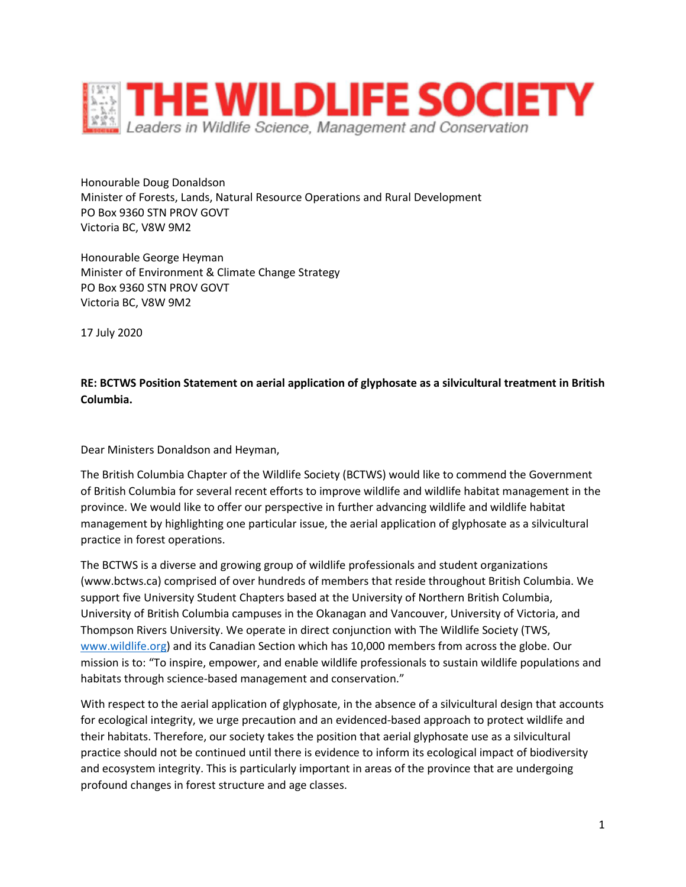

Honourable Doug Donaldson Minister of Forests, Lands, Natural Resource Operations and Rural Development PO Box 9360 STN PROV GOVT Victoria BC, V8W 9M2

Honourable George Heyman Minister of Environment & Climate Change Strategy PO Box 9360 STN PROV GOVT Victoria BC, V8W 9M2

17 July 2020

**RE: BCTWS Position Statement on aerial application of glyphosate as a silvicultural treatment in British Columbia.**

Dear Ministers Donaldson and Heyman,

The British Columbia Chapter of the Wildlife Society (BCTWS) would like to commend the Government of British Columbia for several recent efforts to improve wildlife and wildlife habitat management in the province. We would like to offer our perspective in further advancing wildlife and wildlife habitat management by highlighting one particular issue, the aerial application of glyphosate as a silvicultural practice in forest operations.

The BCTWS is a diverse and growing group of wildlife professionals and student organizations (www.bctws.ca) comprised of over hundreds of members that reside throughout British Columbia. We support five University Student Chapters based at the University of Northern British Columbia, University of British Columbia campuses in the Okanagan and Vancouver, University of Victoria, and Thompson Rivers University. We operate in direct conjunction with The Wildlife Society (TWS, [www.wildlife.org\)](http://www.wildlife.org/) and its Canadian Section which has 10,000 members from across the globe. Our mission is to: "To inspire, empower, and enable wildlife professionals to sustain wildlife populations and habitats through science-based management and conservation."

With respect to the aerial application of glyphosate, in the absence of a silvicultural design that accounts for ecological integrity, we urge precaution and an evidenced-based approach to protect wildlife and their habitats. Therefore, our society takes the position that aerial glyphosate use as a silvicultural practice should not be continued until there is evidence to inform its ecological impact of biodiversity and ecosystem integrity. This is particularly important in areas of the province that are undergoing profound changes in forest structure and age classes.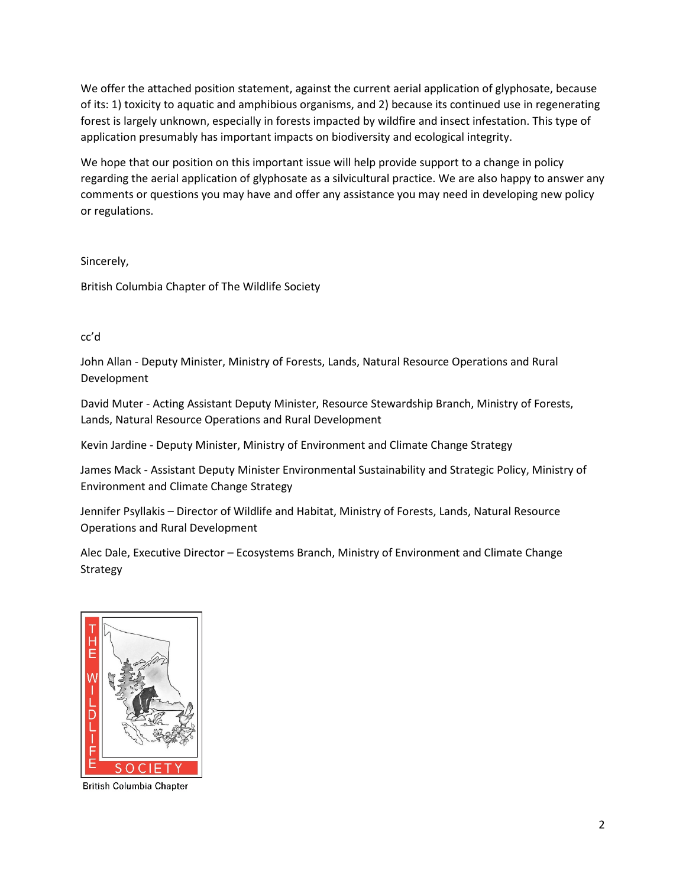We offer the attached position statement, against the current aerial application of glyphosate, because of its: 1) toxicity to aquatic and amphibious organisms, and 2) because its continued use in regenerating forest is largely unknown, especially in forests impacted by wildfire and insect infestation. This type of application presumably has important impacts on biodiversity and ecological integrity.

We hope that our position on this important issue will help provide support to a change in policy regarding the aerial application of glyphosate as a silvicultural practice. We are also happy to answer any comments or questions you may have and offer any assistance you may need in developing new policy or regulations.

Sincerely,

British Columbia Chapter of The Wildlife Society

## cc'd

John Allan - Deputy Minister, Ministry of Forests, Lands, Natural Resource Operations and Rural Development

David Muter - Acting Assistant Deputy Minister, Resource Stewardship Branch, Ministry of Forests, Lands, Natural Resource Operations and Rural Development

Kevin Jardine - Deputy Minister, Ministry of Environment and Climate Change Strategy

James Mack - Assistant Deputy Minister Environmental Sustainability and Strategic Policy, Ministry of Environment and Climate Change Strategy

Jennifer Psyllakis – Director of Wildlife and Habitat, Ministry of Forests, Lands, Natural Resource Operations and Rural Development

Alec Dale, Executive Director – Ecosystems Branch, Ministry of Environment and Climate Change Strategy



British Columbia Chapter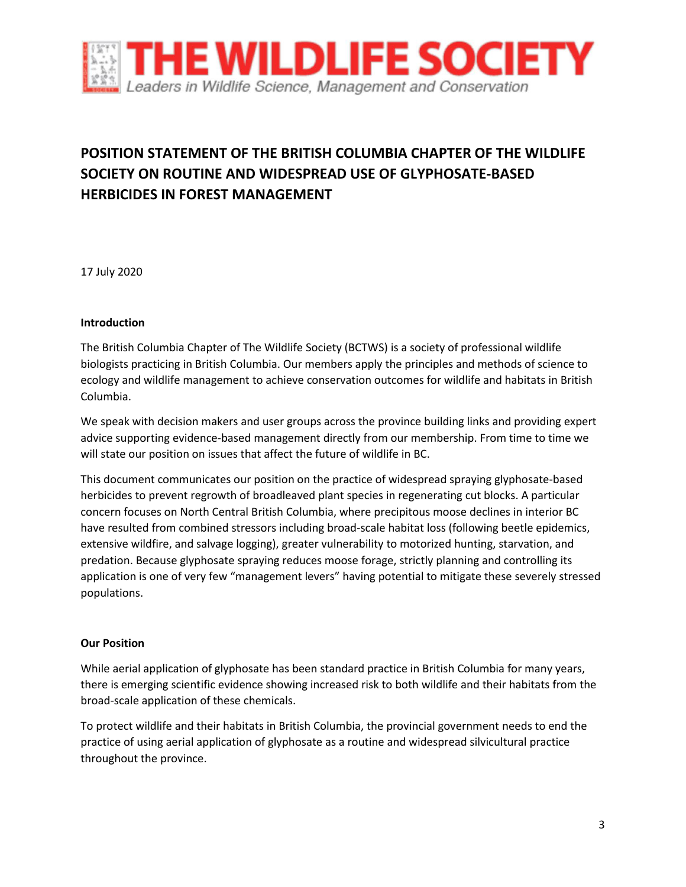

# **POSITION STATEMENT OF THE BRITISH COLUMBIA CHAPTER OF THE WILDLIFE SOCIETY ON ROUTINE AND WIDESPREAD USE OF GLYPHOSATE-BASED HERBICIDES IN FOREST MANAGEMENT**

17 July 2020

## **Introduction**

The British Columbia Chapter of The Wildlife Society (BCTWS) is a society of professional wildlife biologists practicing in British Columbia. Our members apply the principles and methods of science to ecology and wildlife management to achieve conservation outcomes for wildlife and habitats in British Columbia.

We speak with decision makers and user groups across the province building links and providing expert advice supporting evidence-based management directly from our membership. From time to time we will state our position on issues that affect the future of wildlife in BC.

This document communicates our position on the practice of widespread spraying glyphosate-based herbicides to prevent regrowth of broadleaved plant species in regenerating cut blocks. A particular concern focuses on North Central British Columbia, where precipitous moose declines in interior BC have resulted from combined stressors including broad-scale habitat loss (following beetle epidemics, extensive wildfire, and salvage logging), greater vulnerability to motorized hunting, starvation, and predation. Because glyphosate spraying reduces moose forage, strictly planning and controlling its application is one of very few "management levers" having potential to mitigate these severely stressed populations.

#### **Our Position**

While aerial application of glyphosate has been standard practice in British Columbia for many years, there is emerging scientific evidence showing increased risk to both wildlife and their habitats from the broad-scale application of these chemicals.

To protect wildlife and their habitats in British Columbia, the provincial government needs to end the practice of using aerial application of glyphosate as a routine and widespread silvicultural practice throughout the province.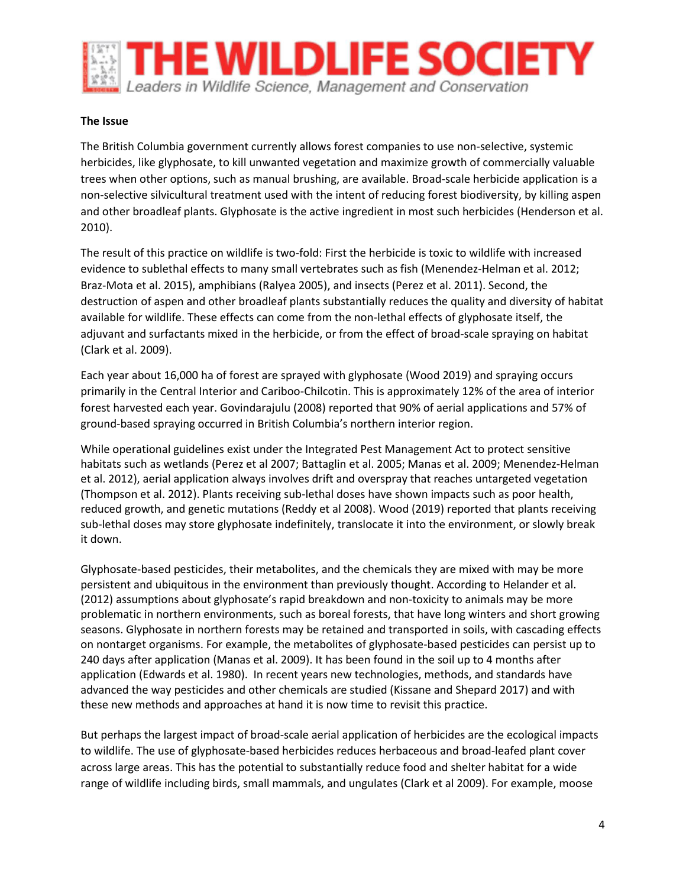

#### **The Issue**

The British Columbia government currently allows forest companies to use non-selective, systemic herbicides, like glyphosate, to kill unwanted vegetation and maximize growth of commercially valuable trees when other options, such as manual brushing, are available. Broad-scale herbicide application is a non-selective silvicultural treatment used with the intent of reducing forest biodiversity, by killing aspen and other broadleaf plants. Glyphosate is the active ingredient in most such herbicides (Henderson et al. 2010).

The result of this practice on wildlife is two-fold: First the herbicide is toxic to wildlife with increased evidence to sublethal effects to many small vertebrates such as fish (Menendez-Helman et al. 2012; Braz-Mota et al. 2015), amphibians (Ralyea 2005), and insects (Perez et al. 2011). Second, the destruction of aspen and other broadleaf plants substantially reduces the quality and diversity of habitat available for wildlife. These effects can come from the non-lethal effects of glyphosate itself, the adjuvant and surfactants mixed in the herbicide, or from the effect of broad-scale spraying on habitat (Clark et al. 2009).

Each year about 16,000 ha of forest are sprayed with glyphosate (Wood 2019) and spraying occurs primarily in the Central Interior and Cariboo-Chilcotin. This is approximately 12% of the area of interior forest harvested each year. Govindarajulu (2008) reported that 90% of aerial applications and 57% of ground-based spraying occurred in British Columbia's northern interior region.

While operational guidelines exist under the Integrated Pest Management Act to protect sensitive habitats such as wetlands (Perez et al 2007; Battaglin et al. 2005; Manas et al. 2009; Menendez-Helman et al. 2012), aerial application always involves drift and overspray that reaches untargeted vegetation (Thompson et al. 2012). Plants receiving sub-lethal doses have shown impacts such as poor health, reduced growth, and genetic mutations (Reddy et al 2008). Wood (2019) reported that plants receiving sub-lethal doses may store glyphosate indefinitely, translocate it into the environment, or slowly break it down.

Glyphosate-based pesticides, their metabolites, and the chemicals they are mixed with may be more persistent and ubiquitous in the environment than previously thought. According to Helander et al. (2012) assumptions about glyphosate's rapid breakdown and non-toxicity to animals may be more problematic in northern environments, such as boreal forests, that have long winters and short growing seasons. Glyphosate in northern forests may be retained and transported in soils, with cascading effects on nontarget organisms. For example, the metabolites of glyphosate-based pesticides can persist up to 240 days after application (Manas et al. 2009). It has been found in the soil up to 4 months after application (Edwards et al. 1980). In recent years new technologies, methods, and standards have advanced the way pesticides and other chemicals are studied (Kissane and Shepard 2017) and with these new methods and approaches at hand it is now time to revisit this practice.

But perhaps the largest impact of broad-scale aerial application of herbicides are the ecological impacts to wildlife. The use of glyphosate-based herbicides reduces herbaceous and broad-leafed plant cover across large areas. This has the potential to substantially reduce food and shelter habitat for a wide range of wildlife including birds, small mammals, and ungulates (Clark et al 2009). For example, moose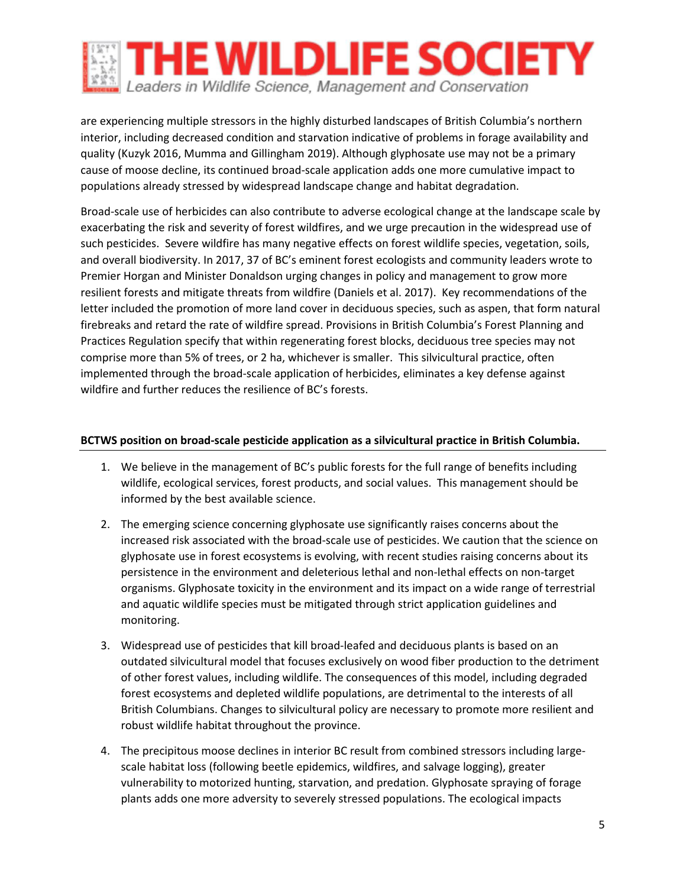

are experiencing multiple stressors in the highly disturbed landscapes of British Columbia's northern interior, including decreased condition and starvation indicative of problems in forage availability and quality (Kuzyk 2016, Mumma and Gillingham 2019). Although glyphosate use may not be a primary cause of moose decline, its continued broad-scale application adds one more cumulative impact to populations already stressed by widespread landscape change and habitat degradation.

Broad-scale use of herbicides can also contribute to adverse ecological change at the landscape scale by exacerbating the risk and severity of forest wildfires, and we urge precaution in the widespread use of such pesticides. Severe wildfire has many negative effects on forest wildlife species, vegetation, soils, and overall biodiversity. In 2017, 37 of BC's eminent forest ecologists and community leaders wrote to Premier Horgan and Minister Donaldson urging changes in policy and management to grow more resilient forests and mitigate threats from wildfire (Daniels et al. 2017). Key recommendations of the letter included the promotion of more land cover in deciduous species, such as aspen, that form natural firebreaks and retard the rate of wildfire spread. Provisions in British Columbia's Forest Planning and Practices Regulation specify that within regenerating forest blocks, deciduous tree species may not comprise more than 5% of trees, or 2 ha, whichever is smaller. This silvicultural practice, often implemented through the broad-scale application of herbicides, eliminates a key defense against wildfire and further reduces the resilience of BC's forests.

### **BCTWS position on broad-scale pesticide application as a silvicultural practice in British Columbia.**

- 1. We believe in the management of BC's public forests for the full range of benefits including wildlife, ecological services, forest products, and social values. This management should be informed by the best available science.
- 2. The emerging science concerning glyphosate use significantly raises concerns about the increased risk associated with the broad-scale use of pesticides. We caution that the science on glyphosate use in forest ecosystems is evolving, with recent studies raising concerns about its persistence in the environment and deleterious lethal and non-lethal effects on non-target organisms. Glyphosate toxicity in the environment and its impact on a wide range of terrestrial and aquatic wildlife species must be mitigated through strict application guidelines and monitoring.
- 3. Widespread use of pesticides that kill broad-leafed and deciduous plants is based on an outdated silvicultural model that focuses exclusively on wood fiber production to the detriment of other forest values, including wildlife. The consequences of this model, including degraded forest ecosystems and depleted wildlife populations, are detrimental to the interests of all British Columbians. Changes to silvicultural policy are necessary to promote more resilient and robust wildlife habitat throughout the province.
- 4. The precipitous moose declines in interior BC result from combined stressors including largescale habitat loss (following beetle epidemics, wildfires, and salvage logging), greater vulnerability to motorized hunting, starvation, and predation. Glyphosate spraying of forage plants adds one more adversity to severely stressed populations. The ecological impacts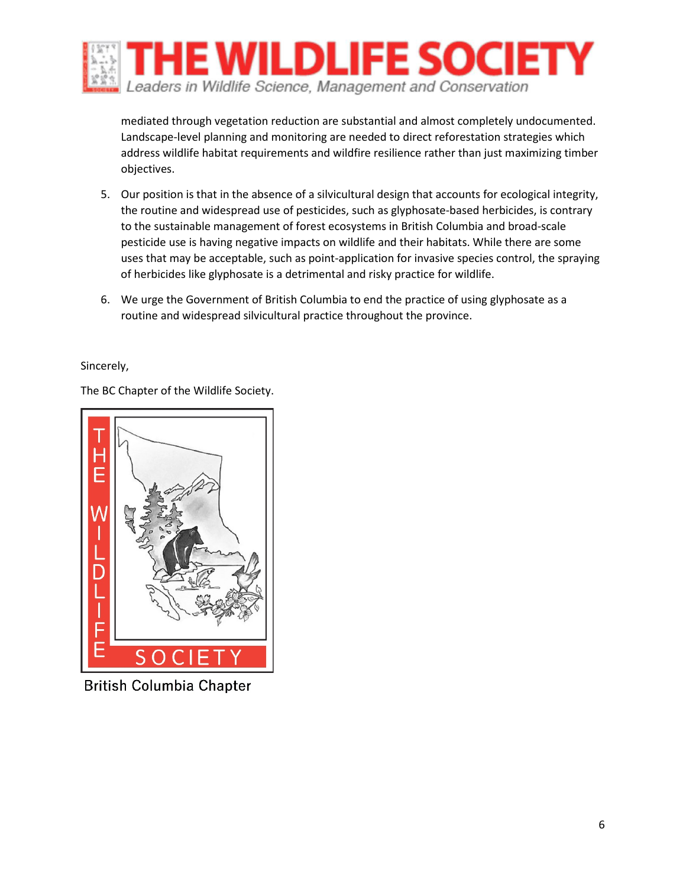

mediated through vegetation reduction are substantial and almost completely undocumented. Landscape-level planning and monitoring are needed to direct reforestation strategies which address wildlife habitat requirements and wildfire resilience rather than just maximizing timber objectives.

- 5. Our position is that in the absence of a silvicultural design that accounts for ecological integrity, the routine and widespread use of pesticides, such as glyphosate-based herbicides, is contrary to the sustainable management of forest ecosystems in British Columbia and broad-scale pesticide use is having negative impacts on wildlife and their habitats. While there are some uses that may be acceptable, such as point-application for invasive species control, the spraying of herbicides like glyphosate is a detrimental and risky practice for wildlife.
- 6. We urge the Government of British Columbia to end the practice of using glyphosate as a routine and widespread silvicultural practice throughout the province.

Sincerely,

The BC Chapter of the Wildlife Society.



**British Columbia Chapter**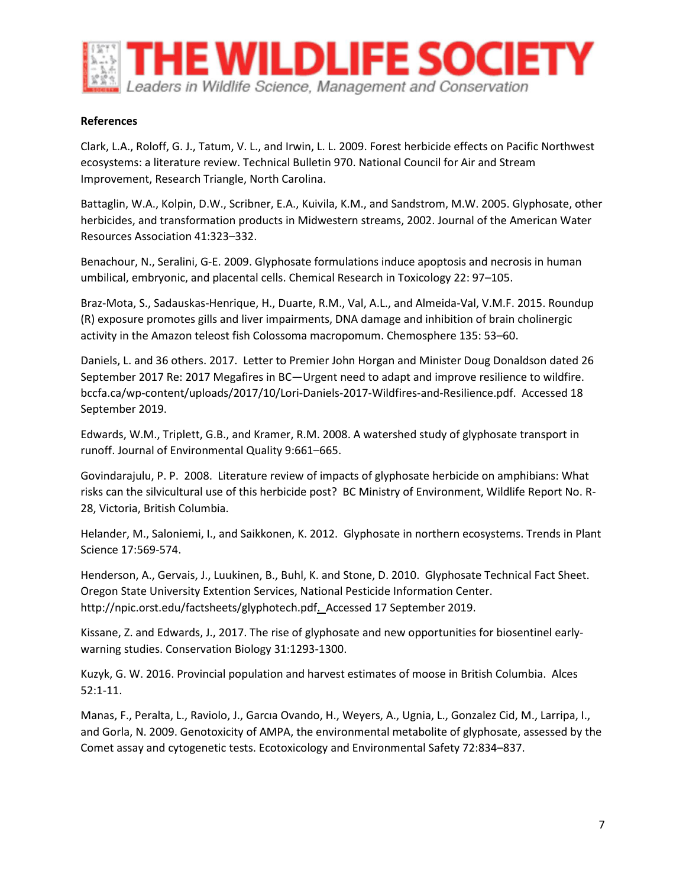

#### **References**

Clark, L.A., Roloff, G. J., Tatum, V. L., and Irwin, L. L. 2009. Forest herbicide effects on Pacific Northwest ecosystems: a literature review. Technical Bulletin 970. National Council for Air and Stream Improvement, Research Triangle, North Carolina.

Battaglin, W.A., Kolpin, D.W., Scribner, E.A., Kuivila, K.M., and Sandstrom, M.W. 2005. Glyphosate, other herbicides, and transformation products in Midwestern streams, 2002. Journal of the American Water Resources Association 41:323–332.

Benachour, N., Seralini, G-E. 2009. Glyphosate formulations induce apoptosis and necrosis in human umbilical, embryonic, and placental cells. Chemical Research in Toxicology 22: 97–105.

Braz-Mota, S., Sadauskas-Henrique, H., Duarte, R.M., Val, A.L., and Almeida-Val, V.M.F. 2015. Roundup (R) exposure promotes gills and liver impairments, DNA damage and inhibition of brain cholinergic activity in the Amazon teleost fish Colossoma macropomum. Chemosphere 135: 53–60.

Daniels, L. and 36 others. 2017. Letter to Premier John Horgan and Minister Doug Donaldson dated 26 September 2017 Re: 2017 Megafires in BC—Urgent need to adapt and improve resilience to wildfire. bccfa.ca/wp-content/uploads/2017/10/Lori-Daniels-2017-Wildfires-and-Resilience.pdf. Accessed 18 September 2019.

Edwards, W.M., Triplett, G.B., and Kramer, R.M. 2008. A watershed study of glyphosate transport in runoff. Journal of Environmental Quality 9:661–665.

Govindarajulu, P. P. 2008. Literature review of impacts of glyphosate herbicide on amphibians: What risks can the silvicultural use of this herbicide post? BC Ministry of Environment, Wildlife Report No. R-28, Victoria, British Columbia.

Helander, M., Saloniemi, I., and Saikkonen, K. 2012. Glyphosate in northern ecosystems. Trends in Plant Science 17:569-574.

Henderson, A., Gervais, J., Luukinen, B., Buhl, K. and Stone, D. 2010. Glyphosate Technical Fact Sheet. Oregon State University Extention Services, National Pesticide Information Center. http://npic.orst.edu/factsheets/glyphotech.pdf. Accessed 17 September 2019.

Kissane, Z. and Edwards, J., 2017. The rise of glyphosate and new opportunities for biosentinel earlywarning studies. Conservation Biology 31:1293-1300.

Kuzyk, G. W. 2016. Provincial population and harvest estimates of moose in British Columbia. Alces 52:1-11.

Manas, F., Peralta, L., Raviolo, J., Garcıa Ovando, H., Weyers, A., Ugnia, L., Gonzalez Cid, M., Larripa, I., and Gorla, N. 2009. Genotoxicity of AMPA, the environmental metabolite of glyphosate, assessed by the Comet assay and cytogenetic tests. Ecotoxicology and Environmental Safety 72:834–837.